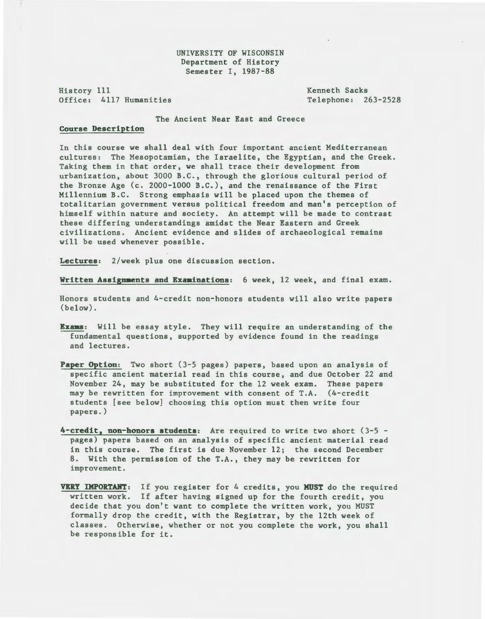## UNIVERSITY OF WISCONSIN Department of History Semester I, 1987-88

History 111 Office: 4117 Humanities Kenneth Sacks Telephone: 263-2528

The Ancient Near East and Greece

## **Course Description**

In this course we shall deal with four important ancient Mediterranean cultures: The Mesopotamian, the Israelite, the Egyptian, and the Greek. Taking them in that order, we shall trace their development from urbanization, about 3000 B.C., through the glorious cultural period of the Bronze Age (c. 2000-1000 B.C.), and the renaissance of the First Millennium B.C. Strong emphasis will be placed upon the themes of totalitarian government versus political freedom and man's perception of himself within nature and society. An attempt will be made to contrast these differing understandings amidst the Near Eastern and Greek civilizations. Ancient evidence and slides of archaeological remains will be used whenever possible.

**Lectures:** 2/week plus one discussion section.

**Written Assignaents and Exaainations:** 6 week, 12 week, and final exam.

Honors students and 4-credit non-honors students will also write papers (below).

- **Exaas:** Will be essay style. They will require an understanding of the fundamental questions, supported by evidence found in the readings and lectures.
- **Paper Option:** Two short (3-5 pages) papers, based upon an analysis of specific ancient material read in this course, and due October 22 and November 24, may be substituted for the 12 week exam. These papers may be rewritten for improvement with consent of T.A. (4-credit students [see below] choosing this option must then write four papers.)
- **4-credit, non-honors students:** Are required to write two short (3-5 pages) papers based on an analysis of specific ancient material read in this course. The first is due November 12; the second December 8. With the permission of the T.A., they may be rewritten for improvement.
- **VERY IMPORTANT:** If you register for 4 credits, you **MOST** do the required written work. If after having signed up for the fourth credit, you decide that you don't want to complete the written work, you MUST formally drop the credit, with the Registrar, by the 12th week of classes. Otherwise, whether or not you complete the work, you shall be responsible for it.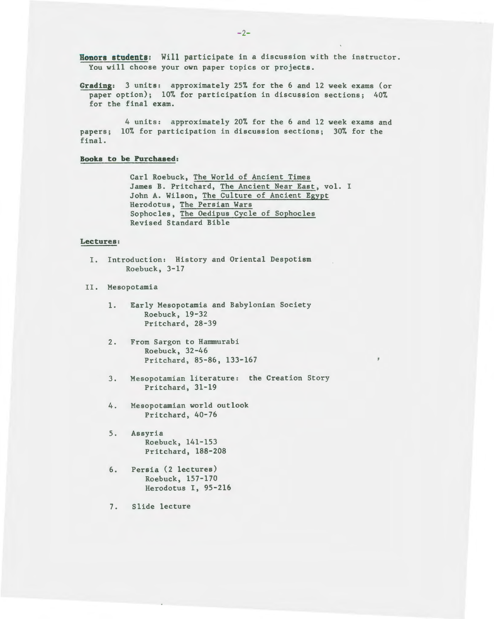**Honors students:** Will participate in a discussion with the instructor. You will choose your own paper topics or projects.

**Grading:** 3 units: approximately 25% for the 6 and 12 week exams (or paper option); 10% for participation in discussion sections; 40% for the final exam.

4 units: approximately 20% for the 6 and 12 week exams and papers; 10% for participation in discussion sections; 30% for the final.

## **Books to be Purchased:**

Carl Roebuck, The World of Ancient Times James B. Pritchard, The Ancient Near East, vol. I John A. Wilson, The Culture of Ancient Egypt Herodotus, The Persian Wars Sophocles, The Oedipus Cycle of Sophocles Revised Standard Bible

## **Lectures:**

I. Introduction: History and Oriental Despotism Roebuck, 3-17

II. Mesopotamia

- 1. Early Mesopotamia and Babylonian Society Roebuck, 19-32 Pritchard, 28-39
- 2. From Sargon to Hammurabi Roebuck, 32-46 Pritchard, 85-86, 133-167
- 3. Mesopotamian literature: the Creation Story Pritchard, 31-19
- 4. Mesopotamian world outlook Pritchard, 40-76
- 5. Assyria Roebuck, 141-153 Pritchard, 188-208
- 6. Persia (2 lectures) Roebuck, 157-170 Herodotus I, 95-216
- 7. Slide lecture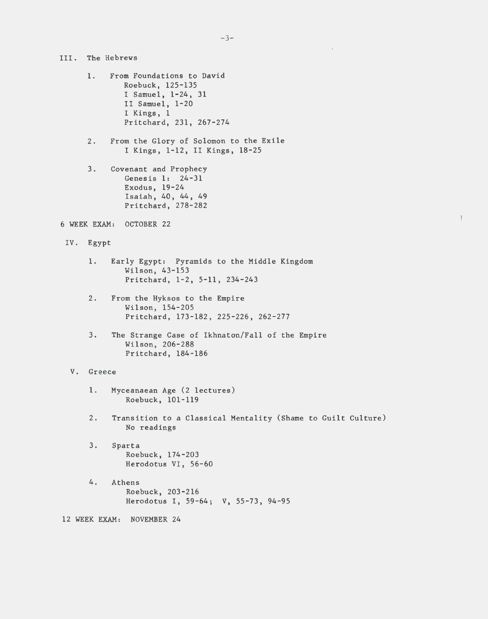III. The Hebrews

- 1. From Foundations to David Roebuck, 125-135 I Samuel, 1-24, 31 II Samuel, 1-20 I Kings, 1 Pritchard, 231, 267-274
- 2. From the Glory of Solomon to the Exile I Kings, 1-12, II Kings, 18-25
- 3. Covenant and Prophecy Genesis 1: 24-31 Exodus, 19-24 Isaiah, 40, 44, 49 Pritchard, 278-282

6 WEEK EXAM: OCTOBER 22

IV. Egypt

- 1. Early Egypt: Pyramids to the Middle Kingdom Wilson, 43-153 Pritchard, 1-2, 5-11, 234-243
- 2. From the Hyksos to the Empire Wilson, 154-205 Pritchard, 173-182, 225-226, 262-277
- 3. The Strange Case of Ikhnaton/Fall of the Empire Wilson, 206-288 Pritchard, 184-186
- V. Greece
	- 1. Myceanaean Age (2 lectures) Roebuck, 101-119
	- 2. Transition to a Classical Mentality (Shame to Guilt Culture) No readings
	- 3. Sparta Roebuck, 174-203 Herodotus VI, 56-60
	- 4. Athens Roebuck, 203-216 Herodotus I, 59-64; V, 55-73, 94-95

12 WEEK EXAM: NOVEMBER 24

 $\Delta$ 

 $\mathbf{I}$